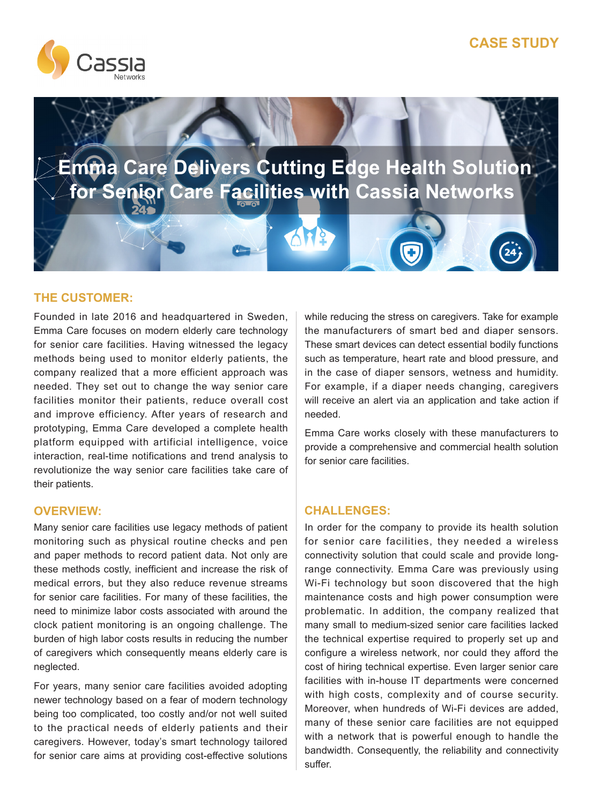



 **Emma Care Delivers Cutting Edge Health Solution for Senior Care Facilities with Cassia Networks**

# **THE CUSTOMER:**

Founded in late 2016 and headquartered in Sweden, Emma Care focuses on modern elderly care technology for senior care facilities. Having witnessed the legacy methods being used to monitor elderly patients, the company realized that a more efficient approach was needed. They set out to change the way senior care facilities monitor their patients, reduce overall cost and improve efficiency. After years of research and prototyping, Emma Care developed a complete health platform equipped with artificial intelligence, voice interaction, real-time notifications and trend analysis to revolutionize the way senior care facilities take care of their patients.

Many senior care facilities use legacy methods of patient monitoring such as physical routine checks and pen and paper methods to record patient data. Not only are these methods costly, inefficient and increase the risk of medical errors, but they also reduce revenue streams for senior care facilities. For many of these facilities, the need to minimize labor costs associated with around the clock patient monitoring is an ongoing challenge. The burden of high labor costs results in reducing the number of caregivers which consequently means elderly care is neglected.

For years, many senior care facilities avoided adopting newer technology based on a fear of modern technology being too complicated, too costly and/or not well suited to the practical needs of elderly patients and their caregivers. However, today's smart technology tailored for senior care aims at providing cost-effective solutions

while reducing the stress on caregivers. Take for example the manufacturers of smart bed and diaper sensors. These smart devices can detect essential bodily functions such as temperature, heart rate and blood pressure, and in the case of diaper sensors, wetness and humidity. For example, if a diaper needs changing, caregivers will receive an alert via an application and take action if needed.

Emma Care works closely with these manufacturers to provide a comprehensive and commercial health solution for senior care facilities.

# **OVERVIEW: CHALLENGES:**

In order for the company to provide its health solution for senior care facilities, they needed a wireless connectivity solution that could scale and provide longrange connectivity. Emma Care was previously using Wi-Fi technology but soon discovered that the high maintenance costs and high power consumption were problematic. In addition, the company realized that many small to medium-sized senior care facilities lacked the technical expertise required to properly set up and configure a wireless network, nor could they afford the cost of hiring technical expertise. Even larger senior care facilities with in-house IT departments were concerned with high costs, complexity and of course security. Moreover, when hundreds of Wi-Fi devices are added, many of these senior care facilities are not equipped with a network that is powerful enough to handle the bandwidth. Consequently, the reliability and connectivity suffer.